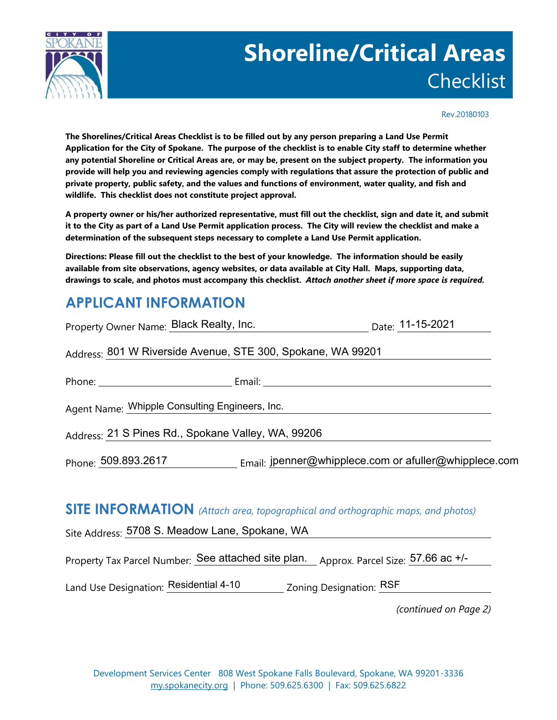

# **Shoreline/Critical Areas Checklist**

Rev.20180103

**The Shorelines/Critical Areas Checklist is to be filled out by any person preparing a Land Use Permit Application for the City of Spokane. The purpose of the checklist is to enable City staff to determine whether any potential Shoreline or Critical Areas are, or may be, present on the subject property. The information you provide will help you and reviewing agencies comply with regulations that assure the protection of public and private property, public safety, and the values and functions of environment, water quality, and fish and wildlife. This checklist does not constitute project approval.** 

**A property owner or his/her authorized representative, must fill out the checklist, sign and date it, and submit it to the City as part of a Land Use Permit application process. The City will review the checklist and make a determination of the subsequent steps necessary to complete a Land Use Permit application.**

**Directions: Please fill out the checklist to the best of your knowledge. The information should be easily available from site observations, agency websites, or data available at City Hall. Maps, supporting data, drawings to scale, and photos must accompany this checklist.** *Attach another sheet if more space is required.*

## **APPLICANT INFORMATION**

| Property Owner Name: Black Realty, Inc. Date: 11-15-2021                               |  |
|----------------------------------------------------------------------------------------|--|
| Address: 801 W Riverside Avenue, STE 300, Spokane, WA 99201                            |  |
|                                                                                        |  |
| Agent Name: Whipple Consulting Engineers, Inc.                                         |  |
| Address: 21 S Pines Rd., Spokane Valley, WA, 99206                                     |  |
| Phone: 509.893.2617 Email: jpenner@whipplece.com or afuller@whipplece.com              |  |
| <b>SITE INFORMATION</b> (Attach area, topographical and orthographic maps, and photos) |  |

Site Address: <mark>5708 S. Meadow Lane, Spokane, WA</mark>

Property Tax Parcel Number: See attached site plan. Approx. Parcel Size: 57.66 ac +/-

Land Use Designation: Residential 4-10 \_\_\_\_\_\_\_\_ Zoning Designation: RSF

*(continued on Page 2)*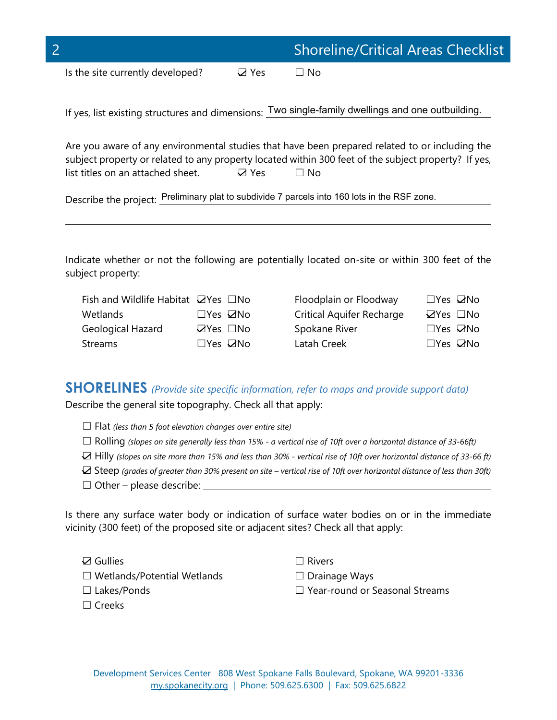| $\bigcap$                        |               | <b>Shoreline/Critical Areas Checklist</b> |
|----------------------------------|---------------|-------------------------------------------|
| Is the site currently developed? | <b>DA Yes</b> | ⊟ No                                      |

If yes, list existing structures and dimensions: Two single-family dwellings and one outbuilding.

Are you aware of any environmental studies that have been prepared related to or including the subject property or related to any property located within 300 feet of the subject property? If yes, list titles on an attached sheet.  $\Box$  Yes  $\Box$  No

Describe the project: Preliminary plat to subdivide 7 parcels into 160 lots in the RSF zone.

Indicate whether or not the following are potentially located on-site or within 300 feet of the subject property:

| Fish and Wildlife Habitat $\Box$ Yes $\Box$ No |                            | Floodplain or Floodway    | $\square$ Yes $\square$ No |
|------------------------------------------------|----------------------------|---------------------------|----------------------------|
| Wetlands                                       | $\square$ Yes $\square$ No | Critical Aquifer Recharge | $\boxtimes$ Yes $\Box$ No  |
| Geological Hazard                              | $\Box$ Yes $\Box$ No       | Spokane River             | $\square$ Yes $\square$ No |
| Streams                                        | $\square$ Yes $\square$ No | Latah Creek               | $\square$ Yes $\square$ No |

#### **SHORELINES** *(Provide site specific information, refer to maps and provide support data)*

Describe the general site topography. Check all that apply:

- ☐ Flat *(less than 5 foot elevation changes over entire site)*
- ☐ Rolling *(slopes on site generally less than 15% - a vertical rise of 10ft over a horizontal distance of 33-66ft)*
- ☐ Hilly *(slopes on site more than 15% and less than 30% - vertical rise of 10ft over horizontal distance of 33-66 ft)*
- ☐ Steep *(grades of greater than 30% present on site – vertical rise of 10ft over horizontal distance of less than 30ft)*
- $\Box$  Other please describe:

Is there any surface water body or indication of surface water bodies on or in the immediate vicinity (300 feet) of the proposed site or adjacent sites? Check all that apply:

**☑** Gullies □ Rivers

 $\overline{a}$ 

- ☐ Wetlands/Potential Wetlands ☐ Drainage Ways
- 
- ☐ Creeks
- ☐ Lakes/Ponds ☐ Year-round or Seasonal Streams